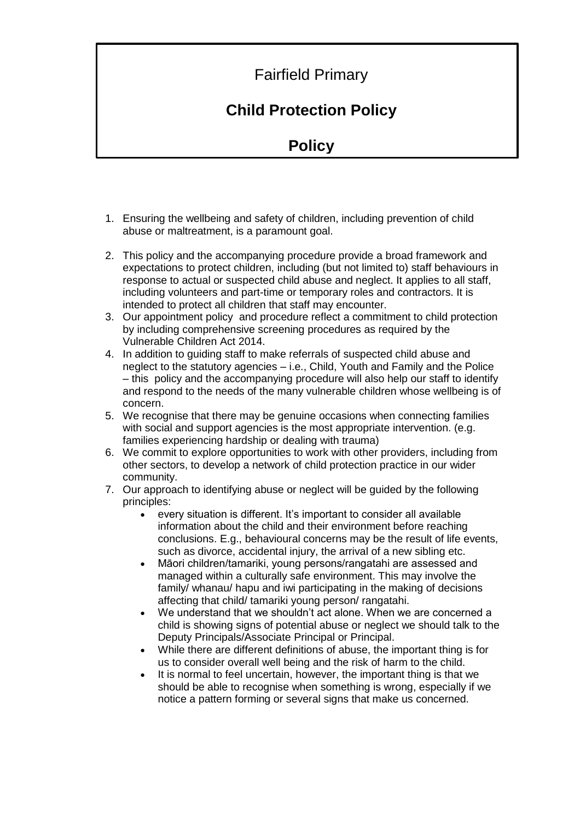## Fairfield Primary

## **Child Protection Policy**

## **Policy**

- 1. Ensuring the wellbeing and safety of children, including prevention of child abuse or maltreatment, is a paramount goal.
- 2. This policy and the accompanying procedure provide a broad framework and expectations to protect children, including (but not limited to) staff behaviours in response to actual or suspected child abuse and neglect. It applies to all staff, including volunteers and part-time or temporary roles and contractors. It is intended to protect all children that staff may encounter.
- 3. Our appointment policy and procedure reflect a commitment to child protection by including comprehensive screening procedures as required by the Vulnerable Children Act 2014.
- 4. In addition to guiding staff to make referrals of suspected child abuse and neglect to the statutory agencies – i.e., Child, Youth and Family and the Police – this policy and the accompanying procedure will also help our staff to identify and respond to the needs of the many vulnerable children whose wellbeing is of concern.
- 5. We recognise that there may be genuine occasions when connecting families with social and support agencies is the most appropriate intervention. (e.g. families experiencing hardship or dealing with trauma)
- 6. We commit to explore opportunities to work with other providers, including from other sectors, to develop a network of child protection practice in our wider community.
- 7. Our approach to identifying abuse or neglect will be guided by the following principles:
	- every situation is different. It's important to consider all available information about the child and their environment before reaching conclusions. E.g., behavioural concerns may be the result of life events, such as divorce, accidental injury, the arrival of a new sibling etc.
	- Māori children/tamariki, young persons/rangatahi are assessed and managed within a culturally safe environment. This may involve the family/ whanau/ hapu and iwi participating in the making of decisions affecting that child/ tamariki young person/ rangatahi.
	- We understand that we shouldn't act alone. When we are concerned a child is showing signs of potential abuse or neglect we should talk to the Deputy Principals/Associate Principal or Principal.
	- While there are different definitions of abuse, the important thing is for us to consider overall well being and the risk of harm to the child.
	- It is normal to feel uncertain, however, the important thing is that we should be able to recognise when something is wrong, especially if we notice a pattern forming or several signs that make us concerned.